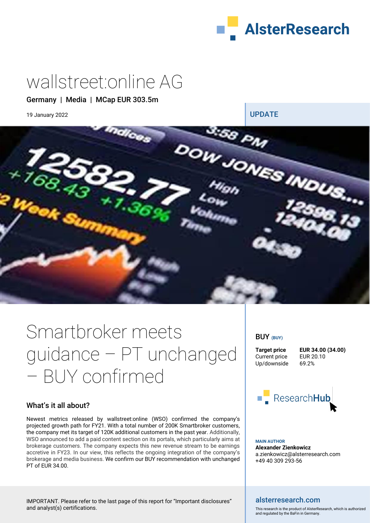

## wallstreet:online AG

#### Germany | Media | MCap EUR 303.5m

19 January 2022 **UPDATE** 



# Smartbroker meets guidance – PT unchanged – BUY confirmed

#### What's it all about?

Newest metrics released by wallstreet:online (WSO) confirmed the company's projected growth path for FY21. With a total number of 200K Smartbroker customers, the company met its target of 120K additional customers in the past year. Additionally, WSO announced to add a paid content section on its portals, which particularly aims at brokerage customers. The company expects this new revenue stream to be earnings accretive in FY23. In our view, this reflects the ongoing integration of the company's brokerage and media business. We confirm our BUY recommendation with unchanged PT of EUR 34.00.

#### BUY **(BUY)**

Current price EUR 2<br>Up/downside 69.2% Up/downside

**Target price <b>EUR 34.00 (34.00)**<br>Current price **EUR 20.10** 



**MAIN AUTHOR Alexander Zienkowicz** a.zienkowicz@alsterresearch.com +49 40 309 293-56

#### IMPORTANT. Please refer to the last page of this report for "Important disclosures" and analyst(s) certifications.

#### alsterresearch.com

This research is the product of AlsterResearch, which is authorized and regulated by the BaFin in Germany.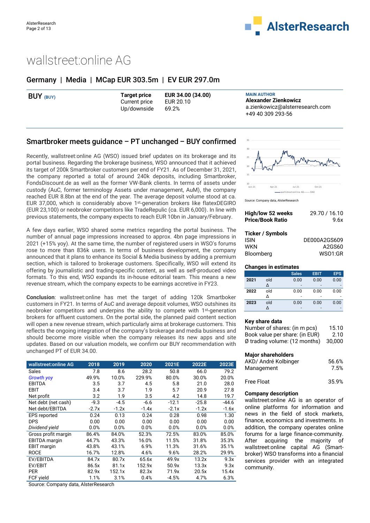

## wallstreet:online AG

#### Germany | Media | MCap EUR 303.5m | EV EUR 297.0m

| BUY (BUY) | Target price<br>Current price<br>Up/downside | EUR 34.00 (34.00)<br>EUR 20.10<br>69.2% | <b>MAIN AUTHOR</b><br><b>Alexander Zienkowicz</b><br>a.zienkowicz@alsterresearch.com<br>+49 40 309 293-56 |
|-----------|----------------------------------------------|-----------------------------------------|-----------------------------------------------------------------------------------------------------------|
|-----------|----------------------------------------------|-----------------------------------------|-----------------------------------------------------------------------------------------------------------|

#### Smartbroker meets guidance – PT unchanged – BUY confirmed

Recently, wallstreet:online AG (WSO) issued brief updates on its brokerage and its portal business. Regarding the brokerage business, WSO announced that it achieved its target of 200k Smartbroker customers per end of FY21. As of December 31, 2021, the company reported a total of around 240k deposits, including Smartbroker, FondsDiscount.de as well as the former VW-Bank clients. In terms of assets under custody (AuC, former terminology Assets under management, AuM), the company reached EUR 8.8bn at the end of the year. The average deposit volume stood at ca. EUR 37,000, which is considerably above 1st-generation brokers like flatexDEGIRO (EUR 23,100) or neobroker competitors like TradeRepulic (ca. EUR 6,000). In line with previous statements, the company expects to reach EUR 10bn in January/February.

A few days earlier, WSO shared some metrics regarding the portal business. The number of annual page impressions increased to approx. 4bn page impressions in 2021 (+15% yoy). At the same time, the number of registered users in WSO's forums rose to more than 836k users. In terms of business development, the company announced that it plans to enhance its Social & Media business by adding a premium section, which is tailored to brokerage customers. Specifically, WSO will extend its offering by journalistic and trading-specific content, as well as self-produced video formats. To this end, WSO expands its in-house editorial team. This means a new revenue stream, which the company expects to be earnings accretive in FY23.

**Conclusion**: wallstreet:online has met the target of adding 120k Smartboker customers in FY21. In terms of AuC and average deposit volumes, WSO outshines its neobroker competitors and underpins the ability to compete with 1st-generation brokers for affluent customers. On the portal side, the planned paid content section will open a new revenue stream, which particularly aims at brokerage customers. This reflects the ongoing integration of the company's brokerage and media business and should become more visible when the company releases its new apps and site updates. Based on our valuation models, we confirm our BUY recommendation with unchanged PT of EUR 34.00.

| wallstreet:online AG | 2018    | 2019    | 2020    | 2021E   | 2022E   | 2023E   |
|----------------------|---------|---------|---------|---------|---------|---------|
| Sales                | 7.8     | 8.6     | 28.2    | 50.8    | 66.0    | 79.2    |
| <b>Growth yoy</b>    | 49.9%   | 10.0%   | 229.9%  | 80.0%   | 30.0%   | 20.0%   |
| EBITDA               | 3.5     | 3.7     | 4.5     | 5.8     | 21.0    | 28.0    |
| <b>EBIT</b>          | 3.4     | 3.7     | 1.9     | 5.7     | 20.9    | 27.8    |
| Net profit           | 3.2     | 1.9     | 3.5     | 4.2     | 14.8    | 19.7    |
| Net debt (net cash)  | $-9.3$  | $-4.5$  | $-6.6$  | $-12.1$ | $-25.8$ | $-44.6$ |
| Net debt/EBITDA      | $-2.7x$ | $-1.2x$ | $-1.4x$ | $-2.1x$ | $-1.2x$ | $-1.6x$ |
| <b>EPS</b> reported  | 0.24    | 0.13    | 0.24    | 0.28    | 0.98    | 1.30    |
| <b>DPS</b>           | 0.00    | 0.00    | 0.00    | 0.00    | 0.00    | 0.00    |
| Dividend yield       | 0.0%    | 0.0%    | 0.0%    | 0.0%    | 0.0%    | 0.0%    |
| Gross profit margin  | 86.4%   | 84.0%   | 52.3%   | 72.5%   | 83.0%   | 85.0%   |
| <b>EBITDA</b> margin | 44.7%   | 43.3%   | 16.0%   | 11.5%   | 31.8%   | 35.3%   |
| <b>EBIT</b> margin   | 43.8%   | 43.1%   | 6.9%    | 11.3%   | 31.6%   | 35.1%   |
| <b>ROCE</b>          | 16.7%   | 12.8%   | 4.6%    | 9.6%    | 28.2%   | 29.9%   |
| EV/EBITDA            | 84.7x   | 80.7x   | 65.6x   | 49.9x   | 13.2x   | 9.3x    |
| EV/EBIT              | 86.5x   | 81.1x   | 152.9x  | 50.9x   | 13.3x   | 9.3x    |
| <b>PER</b>           | 82.9x   | 152.1x  | 82.3x   | 71.9x   | 20.5x   | 15.4x   |
| FCF yield            | 1.1%    | 3.1%    | 0.4%    | $-4.5%$ | 4.7%    | 6.3%    |

Source: Company data, AlsterResearch



**Source: Company data, AlsterResearch** 

| High/low 52 weeks<br><b>Price/Book Ratio</b> | 29.70 / 16.10<br>9.6x |
|----------------------------------------------|-----------------------|
| Ticker / Symbols                             |                       |
| <b>ISIN</b>                                  | DE000A2GS609          |
| <b>WKN</b>                                   | A2GS60                |

Bloomberg WSO1:GR

#### **Changes in estimates**

|      |     | <b>Sales</b> | <b>EBIT</b> | <b>EPS</b> |
|------|-----|--------------|-------------|------------|
| 2021 | old | 0.00         | 0.00        | 0.00       |
|      | Δ   |              |             |            |
| 2022 | old | 0.00         | 0.00        | 0.00       |
|      | Δ   |              |             |            |
| 2023 | old | 0.00         | 0.00        | 0.00       |
|      | Δ   |              |             |            |

#### **Key share data**

| Number of shares: (in m pcs)   | 15.10  |
|--------------------------------|--------|
| Book value per share: (in EUR) | 2.10   |
| Ø trading volume: (12 months)  | 30.000 |

#### **Major shareholders**

| AKD/ André Kolbinger | 56.6% |
|----------------------|-------|
| Management           | 7.5%  |
| <b>Free Float</b>    | 35.9% |

#### **Company description**

wallstreet:online AG is an operator of online platforms for information and news in the field of stock markets, finance, economics and investments. In addition, the company operates online forums for a large finance-community. After acquiring the majority of wallstreet:online capital AG (Smartbroker) WSO transforms into a financial services provider with an integrated community.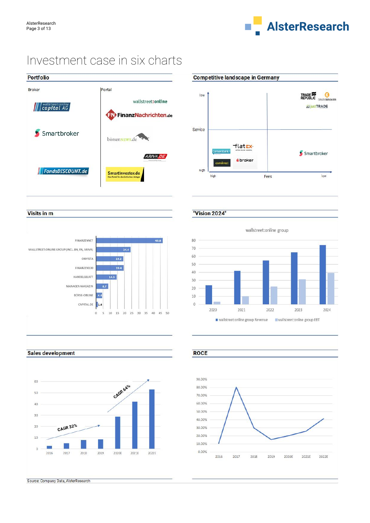

## Investment case in six charts





#### "Vision 2024"



Sales development

Visits in m



Source: Company Data, AlsterResearch



**ROCE** 

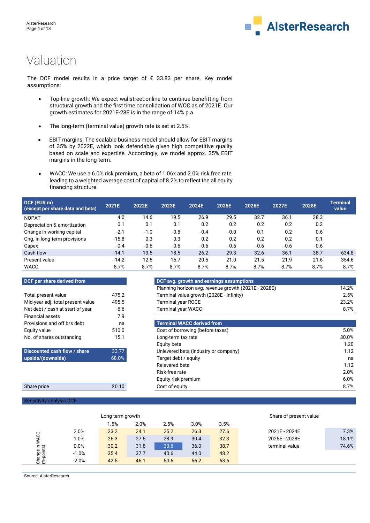

## Valuation

The DCF model results in a price target of  $\epsilon$  33.83 per share. Key model assumptions:

- Top-line growth: We expect wallstreet:online to continue benefitting from structural growth and the first time consolidation of WOC as of 2021E. Our growth estimates for 2021E-28E is in the range of 14% p.a.
- The long-term (terminal value) growth rate is set at 2.5%.
- EBIT margins: The scalable business model should allow for EBIT margins of 35% by 2022E, which look defendable given high competitive quality based on scale and expertise. Accordingly, we model approx. 35% EBIT margins in the long-term.
- WACC: We use a 6.0% risk premium, a beta of 1.06x and 2.0% risk free rate, leading to a weighted average cost of capital of 8.2% to reflect the all equity financing structure.

| DCF (EUR m)<br>(except per share data and beta) | 2021E   | 2022E  | 2023E  | 2024E  | 2025E  | 2026E  | 2027E  | 2028E  | <b>Terminal</b><br>value |
|-------------------------------------------------|---------|--------|--------|--------|--------|--------|--------|--------|--------------------------|
| <b>NOPAT</b>                                    | 4.0     | 14.6   | 19.5   | 26.9   | 29.5   | 32.7   | 36.1   | 38.3   |                          |
| Depreciation & amortization                     | 0.1     | 0.1    | 0.1    | 0.2    | 0.2    | 0.2    | 0.2    | 0.2    |                          |
| Change in working capital                       | $-2.1$  | $-1.0$ | $-0.8$ | $-0.4$ | $-0.0$ | 0.1    | 0.2    | 0.6    |                          |
| Chg. in long-term provisions                    | $-15.8$ | 0.3    | 0.3    | 0.2    | 0.2    | 0.2    | 0.2    | 0.1    |                          |
| Capex                                           | $-0.4$  | $-0.6$ | $-0.6$ | $-0.6$ | $-0.6$ | $-0.6$ | $-0.6$ | $-0.6$ |                          |
| Cash flow                                       | $-14.1$ | 13.5   | 18.5   | 26.2   | 29.3   | 32.6   | 36.1   | 38.7   | 634.8                    |
| Present value                                   | $-14.2$ | 12.5   | 15.7   | 20.5   | 21.0   | 21.5   | 21.9   | 21.6   | 354.6                    |
| <b>WACC</b>                                     | 8.7%    | 8.7%   | 8.7%   | 8.7%   | 8.7%   | 8.7%   | 8.7%   | 8.7%   | 8.7%                     |

**DCF per share derived from the contract of the DCF avg. growth and earnings assumptions** 

|                                   |        | <u>i laililiig iloitzoil avg. ieveilus</u> |
|-----------------------------------|--------|--------------------------------------------|
| Total present value               | 475.2  | Terminal value growth (2028E               |
| Mid-year adj. total present value | 495.5  | <b>Terminal year ROCE</b>                  |
| Net debt / cash at start of year  | $-6.6$ | <b>Terminal year WACC</b>                  |
| <b>Financial assets</b>           | 7.9    |                                            |
| Provisions and off b/s debt       | na     | <b>Terminal WACC derived from</b>          |
| Equity value                      | 510.0  | Cost of borrowing (before tax              |
| No. of shares outstanding         | 15.1   | Long-term tax rate                         |
|                                   |        | Equity beta                                |
| Discounted cash flow / share      | 33.77  | Unlevered beta (industry or co             |
| (ahiznwoh)/ahizqu                 | 68.0%  | Target debt / equity                       |

|                                   |        | Planning horizon avg. revenue growth (2021E - 2028E) | 14.2% |
|-----------------------------------|--------|------------------------------------------------------|-------|
| Total present value               | 475.2  | Terminal value growth (2028E - infinity)             | 2.5%  |
| Mid-year adj. total present value | 495.5  | <b>Terminal year ROCE</b>                            | 23.2% |
| Net debt / cash at start of year  | $-6.6$ | <b>Terminal year WACC</b>                            | 8.7%  |
| Financial assets                  | 7.9    |                                                      |       |
| Provisions and off b/s debt       | na     | <b>Terminal WACC derived from</b>                    |       |
| Equity value                      | 510.0  | Cost of borrowing (before taxes)                     | 5.0%  |
| No. of shares outstanding         | 15.1   | Long-term tax rate                                   | 30.0% |
|                                   |        |                                                      |       |

| NU. UI SHAICS UUISIAHUIHU    | 1 J.I | LUILLEIIII LATTALE                   | 30.U ⁄ |
|------------------------------|-------|--------------------------------------|--------|
|                              |       | Equity beta                          | 1.20   |
| Discounted cash flow / share | 33.77 | Unlevered beta (industry or company) | 1.12   |
| upside/(downside)            | 68.0% | Target debt / equity                 | na     |
|                              |       | Relevered beta                       | 1.12   |
|                              |       | Risk-free rate                       | 2.0%   |
|                              |       | Equity risk premium                  | 6.0%   |
| Share price                  | 20.10 | Cost of equity                       | 8.7%   |
|                              |       |                                      |        |

#### Sensitivity analysis DCI

| Long term growth |         |         |      |      |      |      | Share of present value |       |
|------------------|---------|---------|------|------|------|------|------------------------|-------|
|                  |         | $1.5\%$ | 2.0% | 2.5% | 3.0% | 3.5% |                        |       |
| ပ္ပ              | 2.0%    | 23.2    | 24.1 | 25.2 | 26.3 | 27.6 | 2021E - 2024E          | 7.3%  |
| ŝ                | 1.0%    | 26.3    | 27.5 | 28.9 | 30.4 | 32.3 | 2025E - 2028E          | 18.1% |
| <u>்</u> ஜி      | 0.0%    | 30.2    | 31.8 | 33.8 | 36.0 | 38.7 | terminal value         | 74.6% |
| pe<br>oint       | $-1.0%$ | 35.4    | 37.7 | 40.6 | 44.0 | 48.2 |                        |       |
| ă<br>௨<br>చ్ టి  | $-2.0%$ | 42.5    | 46.1 | 50.6 | 56.2 | 63.6 |                        |       |

Source: AlsterResearch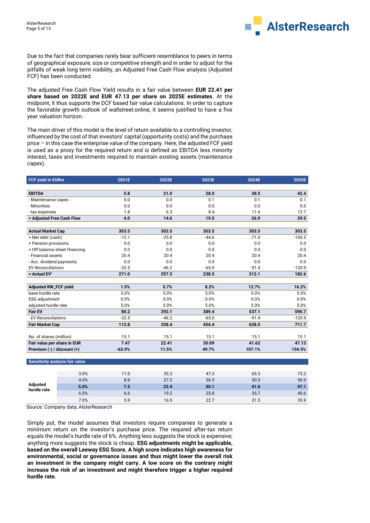

Due to the fact that companies rarely bear sufficient resemblance to peers in terms of geographical exposure, size or competitive strength and in order to adjust for the pitfalls of weak long term visibility, an Adjusted Free Cash Flow analysis (Adjusted FCF) has been conducted.

The adjusted Free Cash Flow Yield results in a fair value between **EUR 22.41 per share based on 2022E and EUR 47.13 per share on 2025E estimates**. At the midpoint, it thus supports the DCF based fair value calculations. In order to capture the favorable growth outlook of wallstreet:online, it seems justified to have a five year valuation horizon.

The main driver of this model is the level of return available to a controlling investor, influenced by the cost of that investors' capital (opportunity costs) and the purchase price – in this case the enterprise value of the company. Here, the adjusted FCF yield is used as a proxy for the required return and is defined as EBITDA less minority interest, taxes and investments required to maintain existing assets (maintenance capex).

| <b>FCF yield in EURm</b>               |      | 2021E    | 2022E   | 2023E   | 2024E   | 2025E    |
|----------------------------------------|------|----------|---------|---------|---------|----------|
|                                        |      |          |         |         |         |          |
| <b>EBITDA</b>                          |      | 5.8      | 21.0    | 28.0    | 38.5    | 42.4     |
| - Maintenance capex                    |      | 0.0      | 0.0     | 0.1     | 0.1     | 0.1      |
| - Minorities                           |      | 0.0      | 0.0     | 0.0     | 0.0     | 0.0      |
| - tax expenses                         |      | 1.8      | 6.3     | 8.4     | 11.6    | 12.7     |
| = Adjusted Free Cash Flow              |      | 4.0      | 14.6    | 19.5    | 26.9    | 29.5     |
|                                        |      |          |         |         |         |          |
| <b>Actual Market Cap</b>               |      | 303.5    | 303.5   | 303.5   | 303.5   | 303.5    |
| + Net debt (cash)                      |      | $-12.1$  | $-25.8$ | $-44.6$ | $-71.0$ | $-100.5$ |
| + Pension provisions                   |      | 0.0      | 0.0     | 0.0     | 0.0     | 0.0      |
| + Off balance sheet financing          |      | 0.0      | 0.0     | 0.0     | 0.0     | 0.0      |
| - Financial assets                     |      | 20.4     | 20.4    | 20.4    | 20.4    | 20.4     |
| - Acc. dividend payments               |      | 0.0      | 0.0     | 0.0     | 0.0     | 0.0      |
| <b>EV Reconciliations</b>              |      | $-32.5$  | $-46.2$ | $-65.0$ | $-91.4$ | $-120.9$ |
| = Actual EV'                           |      | 271.0    | 257.3   | 238.5   | 212.1   | 182.6    |
|                                        |      |          |         |         |         |          |
| <b>Adjusted RW_FCF yield</b>           |      | 1.5%     | 5.7%    | 8.2%    | 12.7%   | 16.2%    |
| base hurdle rate                       |      | 5.0%     | 5.0%    | 5.0%    | 5.0%    | 5.0%     |
| <b>ESG</b> adjustment                  |      | 0.0%     | 0.0%    | 0.0%    | 0.0%    | 0.0%     |
| adjusted hurdle rate                   |      | 5.0%     | 5.0%    | 5.0%    | 5.0%    | 5.0%     |
| <b>Fair EV</b>                         |      | 80.2     | 292.1   | 389.4   | 537.1   | 590.7    |
| - EV Reconciliations                   |      | $-32.5$  | $-46.2$ | $-65.0$ | $-91.4$ | $-120.9$ |
| <b>Fair Market Cap</b>                 |      | 112.8    | 338.4   | 454.4   | 628.5   | 711.7    |
|                                        |      |          |         |         |         |          |
| No. of shares (million)                |      | 15.1     | 15.1    | 15.1    | 15.1    | 15.1     |
| Fair value per share in EUR            |      | 7.47     | 22.41   | 30.09   | 41.62   | 47.13    |
| Premium (-) / discount (+)             |      | $-62.9%$ | 11.5%   | 49.7%   | 107.1%  | 134.5%   |
|                                        |      |          |         |         |         |          |
| <b>Sensitivity analysis fair value</b> |      |          |         |         |         |          |
|                                        |      |          |         |         |         |          |
|                                        | 3.0% | 11.0     | 35.3    | 47.3    | 65.3    | 73.2     |
| <b>Adjusted</b>                        | 4.0% | 8.8      | 27.2    | 36.5    | 50.5    | 56.9     |
| hurdle rate                            | 5.0% | 7.5      | 22.4    | 30.1    | 41.6    | 47.1     |
|                                        | 6.0% | 6.6      | 19.2    | 25.8    | 35.7    | 40.6     |
|                                        | 7.0% | 5.9      | 16.9    | 22.7    | 31.5    | 35.9     |

Source: Company data; AlsterResearch

Simply put, the model assumes that investors require companies to generate a minimum return on the investor's purchase price. The required after-tax return equals the model's hurdle rate of 6%. Anything less suggests the stock is expensive; anything more suggests the stock is cheap. **ESG adjustments might be applicable, based on the overall Leeway ESG Score. A high score indicates high awareness for environmental, social or governance issues and thus might lower the overall risk an investment in the company might carry. A low score on the contrary might increase the risk of an investment and might therefore trigger a higher required hurdle rate.**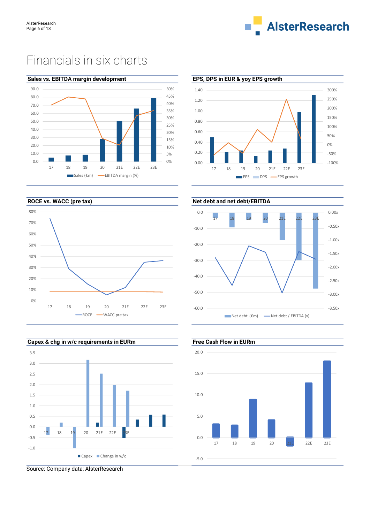

## Financials in six charts



#### **Sales vs. EBITDA margin development EPS, DPS in EUR & yoy EPS growth**



#### **ROCE vs. WACC (pre tax)** Net debt and net debt/EBITDA





Source: Company data; AlsterResearch



# 20.0

Net debt  $(\epsilon m)$  -Net debt / EBITDA (x)

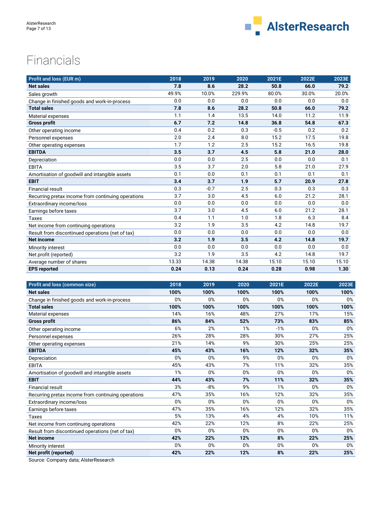

## Financials

| <b>Profit and loss (EUR m)</b>                     | 2018  | 2019   | 2020   | 2021E  | 2022E | 2023E |
|----------------------------------------------------|-------|--------|--------|--------|-------|-------|
| <b>Net sales</b>                                   | 7.8   | 8.6    | 28.2   | 50.8   | 66.0  | 79.2  |
| Sales growth                                       | 49.9% | 10.0%  | 229.9% | 80.0%  | 30.0% | 20.0% |
| Change in finished goods and work-in-process       | 0.0   | 0.0    | 0.0    | 0.0    | 0.0   | 0.0   |
| <b>Total sales</b>                                 | 7.8   | 8.6    | 28.2   | 50.8   | 66.0  | 79.2  |
| Material expenses                                  | 1.1   | 1.4    | 13.5   | 14.0   | 11.2  | 11.9  |
| <b>Gross profit</b>                                | 6.7   | 7.2    | 14.8   | 36.8   | 54.8  | 67.3  |
| Other operating income                             | 0.4   | 0.2    | 0.3    | $-0.5$ | 0.2   | 0.2   |
| Personnel expenses                                 | 2.0   | 2.4    | 8.0    | 15.2   | 17.5  | 19.8  |
| Other operating expenses                           | 1.7   | 1.2    | 2.5    | 15.2   | 16.5  | 19.8  |
| <b>EBITDA</b>                                      | 3.5   | 3.7    | 4.5    | 5.8    | 21.0  | 28.0  |
| Depreciation                                       | 0.0   | 0.0    | 2.5    | 0.0    | 0.0   | 0.1   |
| <b>EBITA</b>                                       | 3.5   | 3.7    | 2.0    | 5.8    | 21.0  | 27.9  |
| Amortisation of goodwill and intangible assets     | 0.1   | 0.0    | 0.1    | 0.1    | 0.1   | 0.1   |
| <b>EBIT</b>                                        | 3.4   | 3.7    | 1.9    | 5.7    | 20.9  | 27.8  |
| <b>Financial result</b>                            | 0.3   | $-0.7$ | 2.5    | 0.3    | 0.3   | 0.3   |
| Recurring pretax income from continuing operations | 3.7   | 3.0    | 4.5    | 6.0    | 21.2  | 28.1  |
| Extraordinary income/loss                          | 0.0   | 0.0    | 0.0    | 0.0    | 0.0   | 0.0   |
| Earnings before taxes                              | 3.7   | 3.0    | 4.5    | 6.0    | 21.2  | 28.1  |
| Taxes                                              | 0.4   | 1.1    | 1.0    | 1.8    | 6.3   | 8.4   |
| Net income from continuing operations              | 3.2   | 1.9    | 3.5    | 4.2    | 14.8  | 19.7  |
| Result from discontinued operations (net of tax)   | 0.0   | 0.0    | 0.0    | 0.0    | 0.0   | 0.0   |
| <b>Net income</b>                                  | 3.2   | 1.9    | 3.5    | 4.2    | 14.8  | 19.7  |
| Minority interest                                  | 0.0   | 0.0    | 0.0    | 0.0    | 0.0   | 0.0   |
| Net profit (reported)                              | 3.2   | 1.9    | 3.5    | 4.2    | 14.8  | 19.7  |
| Average number of shares                           | 13.33 | 14.38  | 14.38  | 15.10  | 15.10 | 15.10 |
| <b>EPS reported</b>                                | 0.24  | 0.13   | 0.24   | 0.28   | 0.98  | 1.30  |

| <b>Profit and loss (common size)</b>               | 2018 | 2019  | 2020 | 2021E | 2022E | 2023E |
|----------------------------------------------------|------|-------|------|-------|-------|-------|
| <b>Net sales</b>                                   | 100% | 100%  | 100% | 100%  | 100%  | 100%  |
| Change in finished goods and work-in-process       | 0%   | 0%    | 0%   | 0%    | $0\%$ | 0%    |
| <b>Total sales</b>                                 | 100% | 100%  | 100% | 100%  | 100%  | 100%  |
| Material expenses                                  | 14%  | 16%   | 48%  | 27%   | 17%   | 15%   |
| <b>Gross profit</b>                                | 86%  | 84%   | 52%  | 73%   | 83%   | 85%   |
| Other operating income                             | 6%   | 2%    | 1%   | $-1%$ | 0%    | 0%    |
| Personnel expenses                                 | 26%  | 28%   | 28%  | 30%   | 27%   | 25%   |
| Other operating expenses                           | 21%  | 14%   | 9%   | 30%   | 25%   | 25%   |
| <b>EBITDA</b>                                      | 45%  | 43%   | 16%  | 12%   | 32%   | 35%   |
| Depreciation                                       | 0%   | 0%    | 9%   | 0%    | $0\%$ | $0\%$ |
| <b>EBITA</b>                                       | 45%  | 43%   | 7%   | 11%   | 32%   | 35%   |
| Amortisation of goodwill and intangible assets     | 1%   | 0%    | 0%   | 0%    | 0%    | 0%    |
| <b>EBIT</b>                                        | 44%  | 43%   | 7%   | 11%   | 32%   | 35%   |
| <b>Financial result</b>                            | 3%   | $-8%$ | 9%   | 1%    | 0%    | 0%    |
| Recurring pretax income from continuing operations | 47%  | 35%   | 16%  | 12%   | 32%   | 35%   |
| Extraordinary income/loss                          | 0%   | 0%    | 0%   | 0%    | 0%    | $0\%$ |
| Earnings before taxes                              | 47%  | 35%   | 16%  | 12%   | 32%   | 35%   |
| Taxes                                              | 5%   | 13%   | 4%   | 4%    | 10%   | 11%   |
| Net income from continuing operations              | 42%  | 22%   | 12%  | 8%    | 22%   | 25%   |
| Result from discontinued operations (net of tax)   | 0%   | 0%    | 0%   | 0%    | $0\%$ | 0%    |
| <b>Net income</b>                                  | 42%  | 22%   | 12%  | 8%    | 22%   | 25%   |
| Minority interest                                  | 0%   | 0%    | 0%   | 0%    | 0%    | 0%    |
| Net profit (reported)                              | 42%  | 22%   | 12%  | 8%    | 22%   | 25%   |

Source: Company data; AlsterResearch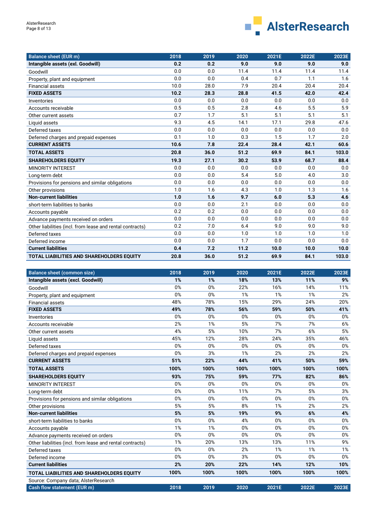

| <b>Balance sheet (EUR m)</b>                              | 2018 | 2019 | 2020 | 2021E | 2022E | 2023E |
|-----------------------------------------------------------|------|------|------|-------|-------|-------|
| Intangible assets (exl. Goodwill)                         | 0.2  | 0.2  | 9.0  | 9.0   | 9.0   | 9.0   |
| Goodwill                                                  | 0.0  | 0.0  | 11.4 | 11.4  | 11.4  | 11.4  |
| Property, plant and equipment                             | 0.0  | 0.0  | 0.4  | 0.7   | 1.1   | 1.6   |
| <b>Financial assets</b>                                   | 10.0 | 28.0 | 7.9  | 20.4  | 20.4  | 20.4  |
| <b>FIXED ASSETS</b>                                       | 10.2 | 28.3 | 28.8 | 41.5  | 42.0  | 42.4  |
| Inventories                                               | 0.0  | 0.0  | 0.0  | 0.0   | 0.0   | 0.0   |
| Accounts receivable                                       | 0.5  | 0.5  | 2.8  | 4.6   | 5.5   | 5.9   |
| Other current assets                                      | 0.7  | 1.7  | 5.1  | 5.1   | 5.1   | 5.1   |
| Liquid assets                                             | 9.3  | 4.5  | 14.1 | 17.1  | 29.8  | 47.6  |
| Deferred taxes                                            | 0.0  | 0.0  | 0.0  | 0.0   | 0.0   | 0.0   |
| Deferred charges and prepaid expenses                     | 0.1  | 1.0  | 0.3  | 1.5   | 1.7   | 2.0   |
| <b>CURRENT ASSETS</b>                                     | 10.6 | 7.8  | 22.4 | 28.4  | 42.1  | 60.6  |
| <b>TOTAL ASSETS</b>                                       | 20.8 | 36.0 | 51.2 | 69.9  | 84.1  | 103.0 |
| <b>SHAREHOLDERS EQUITY</b>                                | 19.3 | 27.1 | 30.2 | 53.9  | 68.7  | 88.4  |
| <b>MINORITY INTEREST</b>                                  | 0.0  | 0.0  | 0.0  | 0.0   | 0.0   | 0.0   |
| Long-term debt                                            | 0.0  | 0.0  | 5.4  | 5.0   | 4.0   | 3.0   |
| Provisions for pensions and similar obligations           | 0.0  | 0.0  | 0.0  | 0.0   | 0.0   | 0.0   |
| Other provisions                                          | 1.0  | 1.6  | 4.3  | 1.0   | 1.3   | 1.6   |
| <b>Non-current liabilities</b>                            | 1.0  | 1.6  | 9.7  | 6.0   | 5.3   | 4.6   |
| short-term liabilities to banks                           | 0.0  | 0.0  | 2.1  | 0.0   | 0.0   | 0.0   |
| Accounts payable                                          | 0.2  | 0.2  | 0.0  | 0.0   | 0.0   | 0.0   |
| Advance payments received on orders                       | 0.0  | 0.0  | 0.0  | 0.0   | 0.0   | 0.0   |
| Other liabilities (incl. from lease and rental contracts) | 0.2  | 7.0  | 6.4  | 9.0   | 9.0   | 9.0   |
| Deferred taxes                                            | 0.0  | 0.0  | 1.0  | 1.0   | 1.0   | 1.0   |
| Deferred income                                           | 0.0  | 0.0  | 1.7  | 0.0   | 0.0   | 0.0   |
| <b>Current liabilities</b>                                | 0.4  | 7.2  | 11.2 | 10.0  | 10.0  | 10.0  |
| <b>TOTAL LIABILITIES AND SHAREHOLDERS EQUITY</b>          | 20.8 | 36.0 | 51.2 | 69.9  | 84.1  | 103.0 |

| <b>Balance sheet (common size)</b>                        | 2018 | 2019 | 2020 | 2021E | 2022E | 2023E |
|-----------------------------------------------------------|------|------|------|-------|-------|-------|
| Intangible assets (excl. Goodwill)                        | 1%   | 1%   | 18%  | 13%   | 11%   | 9%    |
| Goodwill                                                  | 0%   | 0%   | 22%  | 16%   | 14%   | 11%   |
| Property, plant and equipment                             | 0%   | 0%   | 1%   | 1%    | 1%    | 2%    |
| <b>Financial assets</b>                                   | 48%  | 78%  | 15%  | 29%   | 24%   | 20%   |
| <b>FIXED ASSETS</b>                                       | 49%  | 78%  | 56%  | 59%   | 50%   | 41%   |
| Inventories                                               | 0%   | 0%   | 0%   | 0%    | 0%    | 0%    |
| Accounts receivable                                       | 2%   | 1%   | 5%   | 7%    | 7%    | 6%    |
| Other current assets                                      | 4%   | 5%   | 10%  | 7%    | 6%    | 5%    |
| Liquid assets                                             | 45%  | 12%  | 28%  | 24%   | 35%   | 46%   |
| Deferred taxes                                            | 0%   | 0%   | 0%   | 0%    | 0%    | 0%    |
| Deferred charges and prepaid expenses                     | 0%   | 3%   | 1%   | 2%    | 2%    | 2%    |
| <b>CURRENT ASSETS</b>                                     | 51%  | 22%  | 44%  | 41%   | 50%   | 59%   |
| <b>TOTAL ASSETS</b>                                       | 100% | 100% | 100% | 100%  | 100%  | 100%  |
| <b>SHAREHOLDERS EQUITY</b>                                | 93%  | 75%  | 59%  | 77%   | 82%   | 86%   |
| <b>MINORITY INTEREST</b>                                  | 0%   | 0%   | 0%   | 0%    | 0%    | 0%    |
| Long-term debt                                            | 0%   | 0%   | 11%  | 7%    | 5%    | 3%    |
| Provisions for pensions and similar obligations           | 0%   | 0%   | 0%   | 0%    | 0%    | 0%    |
| Other provisions                                          | 5%   | 5%   | 8%   | 1%    | 2%    | 2%    |
| <b>Non-current liabilities</b>                            | 5%   | 5%   | 19%  | 9%    | 6%    | 4%    |
| short-term liabilities to banks                           | 0%   | 0%   | 4%   | 0%    | 0%    | 0%    |
| Accounts payable                                          | 1%   | 1%   | 0%   | 0%    | 0%    | 0%    |
| Advance payments received on orders                       | 0%   | 0%   | 0%   | 0%    | 0%    | 0%    |
| Other liabilities (incl. from lease and rental contracts) | 1%   | 20%  | 13%  | 13%   | 11%   | 9%    |
| Deferred taxes                                            | 0%   | 0%   | 2%   | 1%    | 1%    | 1%    |
| Deferred income                                           | 0%   | 0%   | 3%   | 0%    | 0%    | 0%    |
| <b>Current liabilities</b>                                | 2%   | 20%  | 22%  | 14%   | 12%   | 10%   |
| <b>TOTAL LIABILITIES AND SHAREHOLDERS EQUITY</b>          | 100% | 100% | 100% | 100%  | 100%  | 100%  |
| Source: Company data; AlsterResearch                      |      |      |      |       |       |       |
| Cash flow statement (EUR m)                               | 2018 | 2019 | 2020 | 2021E | 2022E | 2023E |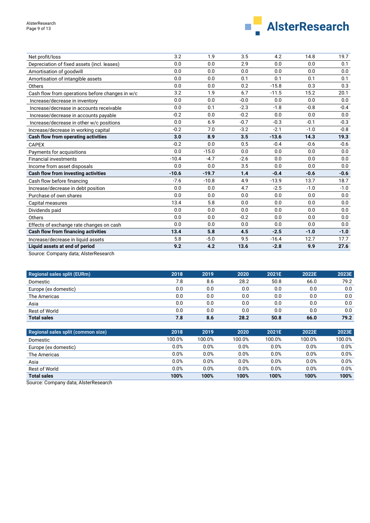

| Net profit/loss                                 | 3.2     | 1.9     | 3.5    | 4.2     | 14.8   | 19.7   |
|-------------------------------------------------|---------|---------|--------|---------|--------|--------|
| Depreciation of fixed assets (incl. leases)     | 0.0     | 0.0     | 2.9    | 0.0     | 0.0    | 0.1    |
| Amortisation of goodwill                        | 0.0     | 0.0     | 0.0    | 0.0     | 0.0    | 0.0    |
| Amortisation of intangible assets               | 0.0     | 0.0     | 0.1    | 0.1     | 0.1    | 0.1    |
| Others                                          | 0.0     | 0.0     | 0.2    | $-15.8$ | 0.3    | 0.3    |
| Cash flow from operations before changes in w/c | 3.2     | 1.9     | 6.7    | $-11.5$ | 15.2   | 20.1   |
| Increase/decrease in inventory                  | 0.0     | 0.0     | $-0.0$ | 0.0     | 0.0    | 0.0    |
| Increase/decrease in accounts receivable        | 0.0     | 0.1     | $-2.3$ | $-1.8$  | $-0.8$ | $-0.4$ |
| Increase/decrease in accounts payable           | $-0.2$  | 0.0     | $-0.2$ | 0.0     | 0.0    | 0.0    |
| Increase/decrease in other w/c positions        | 0.0     | 6.9     | $-0.7$ | $-0.3$  | $-0.1$ | $-0.3$ |
| Increase/decrease in working capital            | $-0.2$  | 7.0     | $-3.2$ | $-2.1$  | $-1.0$ | $-0.8$ |
| Cash flow from operating activities             | 3.0     | 8.9     | 3.5    | $-13.6$ | 14.3   | 19.3   |
| <b>CAPEX</b>                                    | $-0.2$  | 0.0     | 0.5    | $-0.4$  | $-0.6$ | $-0.6$ |
| Payments for acquisitions                       | 0.0     | $-15.0$ | 0.0    | 0.0     | 0.0    | 0.0    |
| <b>Financial investments</b>                    | $-10.4$ | $-4.7$  | $-2.6$ | 0.0     | 0.0    | 0.0    |
| Income from asset disposals                     | 0.0     | 0.0     | 3.5    | 0.0     | 0.0    | 0.0    |
| Cash flow from investing activities             | $-10.6$ | $-19.7$ | 1.4    | $-0.4$  | $-0.6$ | $-0.6$ |
| Cash flow before financing                      | $-7.6$  | $-10.8$ | 4.9    | $-13.9$ | 13.7   | 18.7   |
| Increase/decrease in debt position              | 0.0     | 0.0     | 4.7    | $-2.5$  | $-1.0$ | $-1.0$ |
| Purchase of own shares                          | 0.0     | 0.0     | 0.0    | 0.0     | 0.0    | 0.0    |
| Capital measures                                | 13.4    | 5.8     | 0.0    | 0.0     | 0.0    | 0.0    |
| Dividends paid                                  | 0.0     | 0.0     | 0.0    | 0.0     | 0.0    | 0.0    |
| Others                                          | 0.0     | 0.0     | $-0.2$ | 0.0     | 0.0    | 0.0    |
| Effects of exchange rate changes on cash        | 0.0     | 0.0     | 0.0    | 0.0     | 0.0    | 0.0    |
| Cash flow from financing activities             | 13.4    | 5.8     | 4.5    | $-2.5$  | $-1.0$ | $-1.0$ |
| Increase/decrease in liquid assets              | 5.8     | $-5.0$  | 9.5    | $-16.4$ | 12.7   | 17.7   |
| Liquid assets at end of period                  | 9.2     | 4.2     | 13.6   | $-2.8$  | 9.9    | 27.6   |

Source: Company data; AlsterResearch

| <b>Regional sales split (EURm)</b> | 2018 | 2019 | 2020 | 2021E | 2022E | 2023E |
|------------------------------------|------|------|------|-------|-------|-------|
| Domestic                           | 7.8  | 8.6  | 28.2 | 50.8  | 66.0  | 79.2  |
| Europe (ex domestic)               | 0.0  | 0.0  | 0.0  | 0.0   | 0.0   | 0.0   |
| The Americas                       | 0.0  | 0.0  | 0.0  | 0.0   | 0.0   | 0.0   |
| Asia                               | 0.0  | 0.0  | 0.0  | 0.0   | 0.0   | 0.0   |
| Rest of World                      | 0.0  | 0.0  | 0.0  | 0.0   | 0.0   | 0.0   |
| <b>Total sales</b>                 | 7.8  | 8.6  | 28.2 | 50.8  | 66.0  | 79.2  |

| Regional sales split (common size) | 2018   | 2019   | 2020    | 2021E  | 2022E   | 2023E  |
|------------------------------------|--------|--------|---------|--------|---------|--------|
| Domestic                           | 100.0% | 100.0% | 100.0%  | 100.0% | 100.0%  | 100.0% |
| Europe (ex domestic)               | 0.0%   | 0.0%   | 0.0%    | 0.0%   | $0.0\%$ | 0.0%   |
| The Americas                       | 0.0%   | 0.0%   | $0.0\%$ | 0.0%   | 0.0%    | 0.0%   |
| Asia                               | 0.0%   | 0.0%   | 0.0%    | 0.0%   | 0.0%    | 0.0%   |
| Rest of World                      | 0.0%   | 0.0%   | 0.0%    | 0.0%   | 0.0%    | 0.0%   |
| <b>Total sales</b>                 | 100%   | 100%   | 100%    | 100%   | 100%    | 100%   |

Source: Company data; AlsterResearch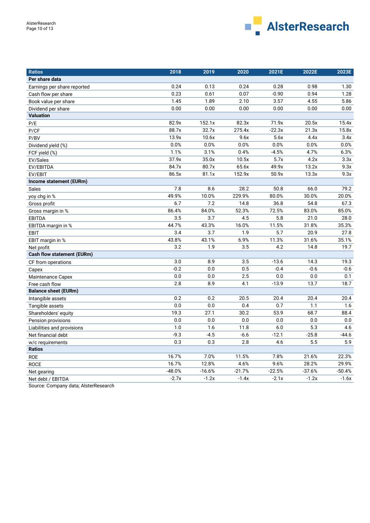

| <b>Ratios</b>                     | 2018     | 2019     | 2020     | 2021E    | 2022E    | 2023E    |
|-----------------------------------|----------|----------|----------|----------|----------|----------|
| Per share data                    |          |          |          |          |          |          |
| Earnings per share reported       | 0.24     | 0.13     | 0.24     | 0.28     | 0.98     | 1.30     |
| Cash flow per share               | 0.23     | 0.61     | 0.07     | $-0.90$  | 0.94     | 1.28     |
| Book value per share              | 1.45     | 1.89     | 2.10     | 3.57     | 4.55     | 5.86     |
| Dividend per share                | 0.00     | 0.00     | 0.00     | 0.00     | 0.00     | 0.00     |
| <b>Valuation</b>                  |          |          |          |          |          |          |
| P/E                               | 82.9x    | 152.1x   | 82.3x    | 71.9x    | 20.5x    | 15.4x    |
| P/CF                              | 88.7x    | 32.7x    | 275.4x   | $-22.3x$ | 21.3x    | 15.8x    |
| P/BV                              | 13.9x    | 10.6x    | 9.6x     | 5.6x     | 4.4x     | 3.4x     |
| Dividend yield (%)                | 0.0%     | 0.0%     | 0.0%     | 0.0%     | 0.0%     | 0.0%     |
| FCF yield (%)                     | 1.1%     | 3.1%     | 0.4%     | $-4.5%$  | 4.7%     | 6.3%     |
| EV/Sales                          | 37.9x    | 35.0x    | 10.5x    | 5.7x     | 4.2x     | 3.3x     |
| EV/EBITDA                         | 84.7x    | 80.7x    | 65.6x    | 49.9x    | 13.2x    | 9.3x     |
| EV/EBIT                           | 86.5x    | 81.1x    | 152.9x   | 50.9x    | 13.3x    | 9.3x     |
| Income statement (EURm)           |          |          |          |          |          |          |
| Sales                             | 7.8      | 8.6      | 28.2     | 50.8     | 66.0     | 79.2     |
| yoy chg in %                      | 49.9%    | 10.0%    | 229.9%   | 80.0%    | 30.0%    | 20.0%    |
| Gross profit                      | 6.7      | 7.2      | 14.8     | 36.8     | 54.8     | 67.3     |
| Gross margin in %                 | 86.4%    | 84.0%    | 52.3%    | 72.5%    | 83.0%    | 85.0%    |
| <b>EBITDA</b>                     | 3.5      | 3.7      | 4.5      | 5.8      | 21.0     | 28.0     |
| EBITDA margin in %                | 44.7%    | 43.3%    | 16.0%    | 11.5%    | 31.8%    | 35.3%    |
| <b>EBIT</b>                       | 3.4      | 3.7      | 1.9      | 5.7      | 20.9     | 27.8     |
| EBIT margin in %                  | 43.8%    | 43.1%    | 6.9%     | 11.3%    | 31.6%    | 35.1%    |
| Net profit                        | 3.2      | 1.9      | 3.5      | 4.2      | 14.8     | 19.7     |
| <b>Cash flow statement (EURm)</b> |          |          |          |          |          |          |
| CF from operations                | 3.0      | 8.9      | 3.5      | $-13.6$  | 14.3     | 19.3     |
| Capex                             | $-0.2$   | 0.0      | 0.5      | $-0.4$   | $-0.6$   | $-0.6$   |
| <b>Maintenance Capex</b>          | 0.0      | 0.0      | 2.5      | 0.0      | 0.0      | 0.1      |
| Free cash flow                    | 2.8      | 8.9      | 4.1      | $-13.9$  | 13.7     | 18.7     |
| <b>Balance sheet (EURm)</b>       |          |          |          |          |          |          |
| Intangible assets                 | 0.2      | 0.2      | 20.5     | 20.4     | 20.4     | 20.4     |
| Tangible assets                   | 0.0      | 0.0      | 0.4      | 0.7      | 1.1      | 1.6      |
| Shareholders' equity              | 19.3     | 27.1     | 30.2     | 53.9     | 68.7     | 88.4     |
| Pension provisions                | 0.0      | 0.0      | 0.0      | 0.0      | 0.0      | 0.0      |
| Liabilities and provisions        | 1.0      | 1.6      | 11.8     | 6.0      | 5.3      | 4.6      |
| Net financial debt                | $-9.3$   | $-4.5$   | $-6.6$   | $-12.1$  | $-25.8$  | $-44.6$  |
| w/c requirements                  | 0.3      | 0.3      | 2.8      | 4.6      | 5.5      | 5.9      |
| <b>Ratios</b>                     |          |          |          |          |          |          |
| <b>ROE</b>                        | 16.7%    | 7.0%     | 11.5%    | 7.8%     | 21.6%    | 22.3%    |
| <b>ROCE</b>                       | 16.7%    | 12.8%    | 4.6%     | 9.6%     | 28.2%    | 29.9%    |
| Net gearing                       | $-48.0%$ | $-16.6%$ | $-21.7%$ | $-22.5%$ | $-37.6%$ | $-50.4%$ |
| Net debt / EBITDA                 | $-2.7x$  | $-1.2x$  | $-1.4x$  | $-2.1x$  | $-1.2x$  | $-1.6x$  |

Source: Company data; AlsterResearch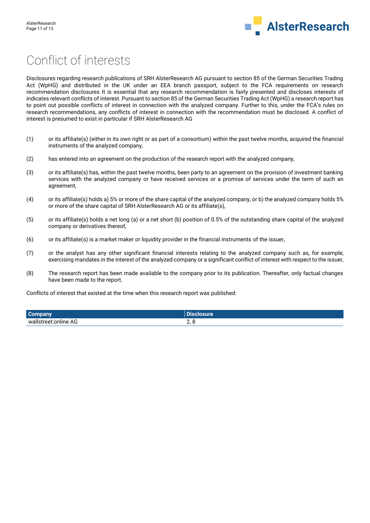

## Conflict of interests

Disclosures regarding research publications of SRH AlsterResearch AG pursuant to section 85 of the German Securities Trading Act (WpHG) and distributed in the UK under an EEA branch passport, subject to the FCA requirements on research recommendation disclosures It is essential that any research recommendation is fairly presented and discloses interests of indicates relevant conflicts of interest. Pursuant to section 85 of the German Securities Trading Act (WpHG) a research report has to point out possible conflicts of interest in connection with the analyzed company. Further to this, under the FCA's rules on research recommendations, any conflicts of interest in connection with the recommendation must be disclosed. A conflict of interest is presumed to exist in particular if SRH AlsterResearch AG

- (1) or its affiliate(s) (either in its own right or as part of a consortium) within the past twelve months, acquired the financial instruments of the analyzed company,
- (2) has entered into an agreement on the production of the research report with the analyzed company,
- (3) or its affiliate(s) has, within the past twelve months, been party to an agreement on the provision of investment banking services with the analyzed company or have received services or a promise of services under the term of such an agreement,
- (4) or its affiliate(s) holds a) 5% or more of the share capital of the analyzed company, or b) the analyzed company holds 5% or more of the share capital of SRH AlsterResearch AG or its affiliate(s),
- (5) or its affiliate(s) holds a net long (a) or a net short (b) position of 0.5% of the outstanding share capital of the analyzed company or derivatives thereof,
- (6) or its affiliate(s) is a market maker or liquidity provider in the financial instruments of the issuer,
- (7) or the analyst has any other significant financial interests relating to the analyzed company such as, for example, exercising mandates in the interest of the analyzed company or a significant conflict of interest with respect to the issuer,
- (8) The research report has been made available to the company prior to its publication. Thereafter, only factual changes have been made to the report.

Conflicts of interest that existed at the time when this research report was published:

| Com.<br>pany               | - -<br>osure<br>Dis |
|----------------------------|---------------------|
| `street:online AG<br>عاادس | -                   |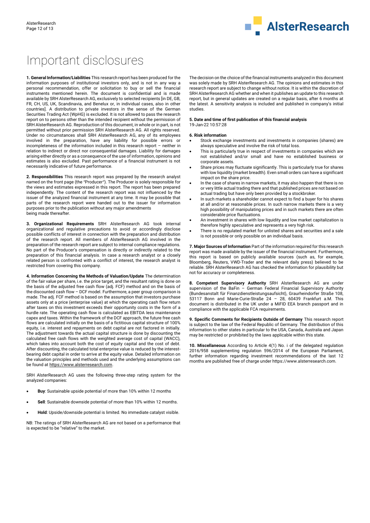

## Important disclosures

**1. General Information/Liabilities** This research report has been produced for the information purposes of institutional investors only, and is not in any way a personal recommendation, offer or solicitation to buy or sell the financial instruments mentioned herein. The document is confidential and is made available by SRH AlsterResearch AG, exclusively to selected recipients [in DE, GB, FR, CH, US, UK, Scandinavia, and Benelux or, in individual cases, also in other countries]. A distribution to private investors in the sense of the German Securities Trading Act (WpHG) is excluded. It is not allowed to pass the research report on to persons other than the intended recipient without the permission of SRH AlsterResearch AG. Reproduction of this document, in whole or in part, is not permitted without prior permission SRH AlsterResearch AG. All rights reserved. Under no circumstances shall SRH AlsterResearch AG, any of its employees involved in the preparation, have any liability for possible errors or incompleteness of the information included in this research report – neither in relation to indirect or direct nor consequential damages. Liability for damages arising either directly or as a consequence of the use of information, opinions and estimates is also excluded. Past performance of a financial instrument is not necessarily indicative of future performance.

**2. Responsibilities** This research report was prepared by the research analyst named on the front page (the "Producer"). The Producer is solely responsible for the views and estimates expressed in this report. The report has been prepared independently. The content of the research report was not influenced by the issuer of the analyzed financial instrument at any time. It may be possible that parts of the research report were handed out to the issuer for information purposes prior to the publication without any major amendments being made thereafter.

**3. Organizational Requirements** SRH AlsterResearch AG took internal organizational and regulative precautions to avoid or accordingly disclose possible conflicts of interest in connection with the preparation and distribution of the research report. All members of AlsterResearch AG involved in the preparation of the research report are subject to internal compliance regulations. No part of the Producer's compensation is directly or indirectly related to the preparation of this financial analysis. In case a research analyst or a closely related person is confronted with a conflict of interest, the research analyst is restricted from covering this company.

**4. Information Concerning the Methods of Valuation/Update** The determination of the fair value per share, i.e. the price target, and the resultant rating is done on the basis of the adjusted free cash flow (adj. FCF) method and on the basis of the discounted cash flow – DCF model. Furthermore, a peer group comparison is made. The adj. FCF method is based on the assumption that investors purchase assets only at a price (enterprise value) at which the operating cash flow return after taxes on this investment exceeds their opportunity costs in the form of a hurdle rate. The operating cash flow is calculated as EBITDA less maintenance capex and taxes. Within the framework of the DCF approach, the future free cash flows are calculated initially on the basis of a fictitious capital structure of 100% equity, i.e. interest and repayments on debt capital are not factored in initially. The adjustment towards the actual capital structure is done by discounting the calculated free cash flows with the weighted average cost of capital (WACC), which takes into account both the cost of equity capital and the cost of debt. After discounting, the calculated total enterprise value is reduced by the interestbearing debt capital in order to arrive at the equity value. Detailed information on the valuation principles and methods used and the underlying assumptions can be found a[t https://www.alsterresearch.com.](https://www.alsterresearch.com/) 

SRH AlsterResearch AG uses the following three-step rating system for the analyzed companies:

- **Buy**: Sustainable upside potential of more than 10% within 12 months
- **Sell**: Sustainable downside potential of more than 10% within 12 months.
- **Hold**: Upside/downside potential is limited. No immediate catalyst visible.

NB: The ratings of SRH AlsterResearch AG are not based on a performance that is expected to be "relative" to the market.

The decision on the choice of the financial instruments analyzed in this document was solely made by SRH AlsterResearch AG. The opinions and estimates in this research report are subject to change without notice. It is within the discretion of SRH AlsterResearch AG whether and when it publishes an update to this research report, but in general updates are created on a regular basis, after 6 months at the latest. A sensitivity analysis is included and published in company's initial studies.

#### **5. Date and time of first publication of this financial analysis**

19-Jan-22 10:57:28

#### **6. Risk information**

- Stock exchange investments and investments in companies (shares) are always speculative and involve the risk of total loss.
- This is particularly true in respect of investments in companies which are not established and/or small and have no established business or corporate assets.
- Share prices may fluctuate significantly. This is particularly true for shares with low liquidity (market breadth). Even small orders can have a significant impact on the share price.
- In the case of shares in narrow markets, it may also happen that there is no or very little actual trading there and that published prices are not based on actual trading but have only been provided by a stockbroker.
- In such markets a shareholder cannot expect to find a buyer for his shares at all and/or at reasonable prices. In such narrow markets there is a very high possibility of manipulating prices and in such markets there are often considerable price fluctuations.
- An investment in shares with low liquidity and low market capitalization is therefore highly speculative and represents a very high risk.
- There is no regulated market for unlisted shares and securities and a sale is not possible or only possible on an individual basis.

**7. Major Sources of Information** Part of the information required for this research report was made available by the issuer of the financial instrument. Furthermore, this report is based on publicly available sources (such as, for example, Bloomberg, Reuters, VWD-Trader and the relevant daily press) believed to be reliable. SRH AlsterResearch AG has checked the information for plausibility but not for accuracy or completeness.

**8. Competent Supervisory Authority** SRH AlsterResearch AG are under supervision of the BaFin – German Federal Financial Supervisory Authority (Bundesanstalt für Finanzdienstleistungsaufsicht), Graurheindorfer Straße 108, 53117 Bonn and Marie-Curie-Straße 24 – 28, 60439 Frankfurt a.M. This document is distributed in the UK under a MiFID EEA branch passport and in compliance with the applicable FCA requirements.

**9. Specific Comments for Recipients Outside of Germany** This research report is subject to the law of the Federal Republic of Germany. The distribution of this information to other states in particular to the USA, Canada, Australia and Japan may be restricted or prohibited by the laws applicable within this state.

**10. Miscellaneous** According to Article 4(1) No. i of the delegated regulation 2016/958 supplementing regulation 596/2014 of the European Parliament, further information regarding investment recommendations of the last 12 months are published free of charge under https://www.alsterresearch.com.